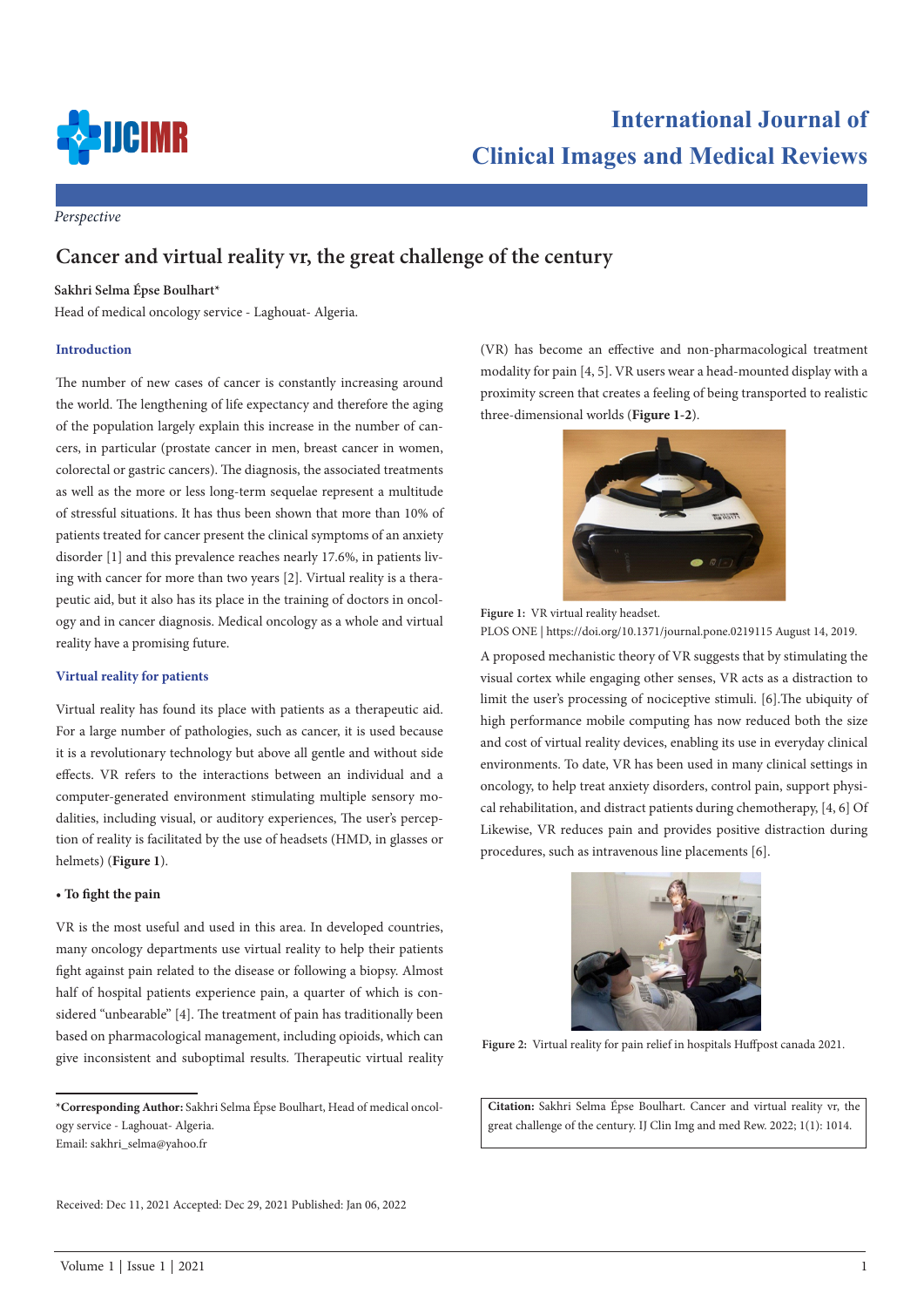

# *Perspective*

# **Cancer and virtual reality vr, the great challenge of the century**

# **Sakhri Selma Épse Boulhart\***

Head of medical oncology service - Laghouat- Algeria.

#### **Introduction**

The number of new cases of cancer is constantly increasing around the world. The lengthening of life expectancy and therefore the aging of the population largely explain this increase in the number of cancers, in particular (prostate cancer in men, breast cancer in women, colorectal or gastric cancers). The diagnosis, the associated treatments as well as the more or less long-term sequelae represent a multitude of stressful situations. It has thus been shown that more than 10% of patients treated for cancer present the clinical symptoms of an anxiety disorder [1] and this prevalence reaches nearly 17.6%, in patients living with cancer for more than two years [2]. Virtual reality is a therapeutic aid, but it also has its place in the training of doctors in oncology and in cancer diagnosis. Medical oncology as a whole and virtual reality have a promising future.

#### **Virtual reality for patients**

Virtual reality has found its place with patients as a therapeutic aid. For a large number of pathologies, such as cancer, it is used because it is a revolutionary technology but above all gentle and without side effects. VR refers to the interactions between an individual and a computer-generated environment stimulating multiple sensory modalities, including visual, or auditory experiences, The user's perception of reality is facilitated by the use of headsets (HMD, in glasses or helmets) (**Figure 1**).

#### **• To fight the pain**

VR is the most useful and used in this area. In developed countries, many oncology departments use virtual reality to help their patients fight against pain related to the disease or following a biopsy. Almost half of hospital patients experience pain, a quarter of which is considered "unbearable" [4]. The treatment of pain has traditionally been based on pharmacological management, including opioids, which can give inconsistent and suboptimal results. Therapeutic virtual reality

Received: Dec 11, 2021 Accepted: Dec 29, 2021 Published: Jan 06, 2022

(VR) has become an effective and non-pharmacological treatment modality for pain [4, 5]. VR users wear a head-mounted display with a proximity screen that creates a feeling of being transported to realistic three-dimensional worlds (**Figure 1-2**).



**Figure 1:** VR virtual reality headset.

PLOS ONE | https://doi.org/10.1371/journal.pone.0219115 August 14, 2019.

A proposed mechanistic theory of VR suggests that by stimulating the visual cortex while engaging other senses, VR acts as a distraction to limit the user's processing of nociceptive stimuli. [6].The ubiquity of high performance mobile computing has now reduced both the size and cost of virtual reality devices, enabling its use in everyday clinical environments. To date, VR has been used in many clinical settings in oncology, to help treat anxiety disorders, control pain, support physical rehabilitation, and distract patients during chemotherapy, [4, 6] Of Likewise, VR reduces pain and provides positive distraction during procedures, such as intravenous line placements [6].



Figure 2: Virtual reality for pain relief in hospitals Huffpost canada 2021.

**Citation:** Sakhri Selma Épse Boulhart. Cancer and virtual reality vr, the great challenge of the century. IJ Clin Img and med Rew. 2022; 1(1): 1014.

**<sup>\*</sup>Corresponding Author:** Sakhri Selma Épse Boulhart, Head of medical oncology service - Laghouat- Algeria.

Email: sakhri\_selma@yahoo.fr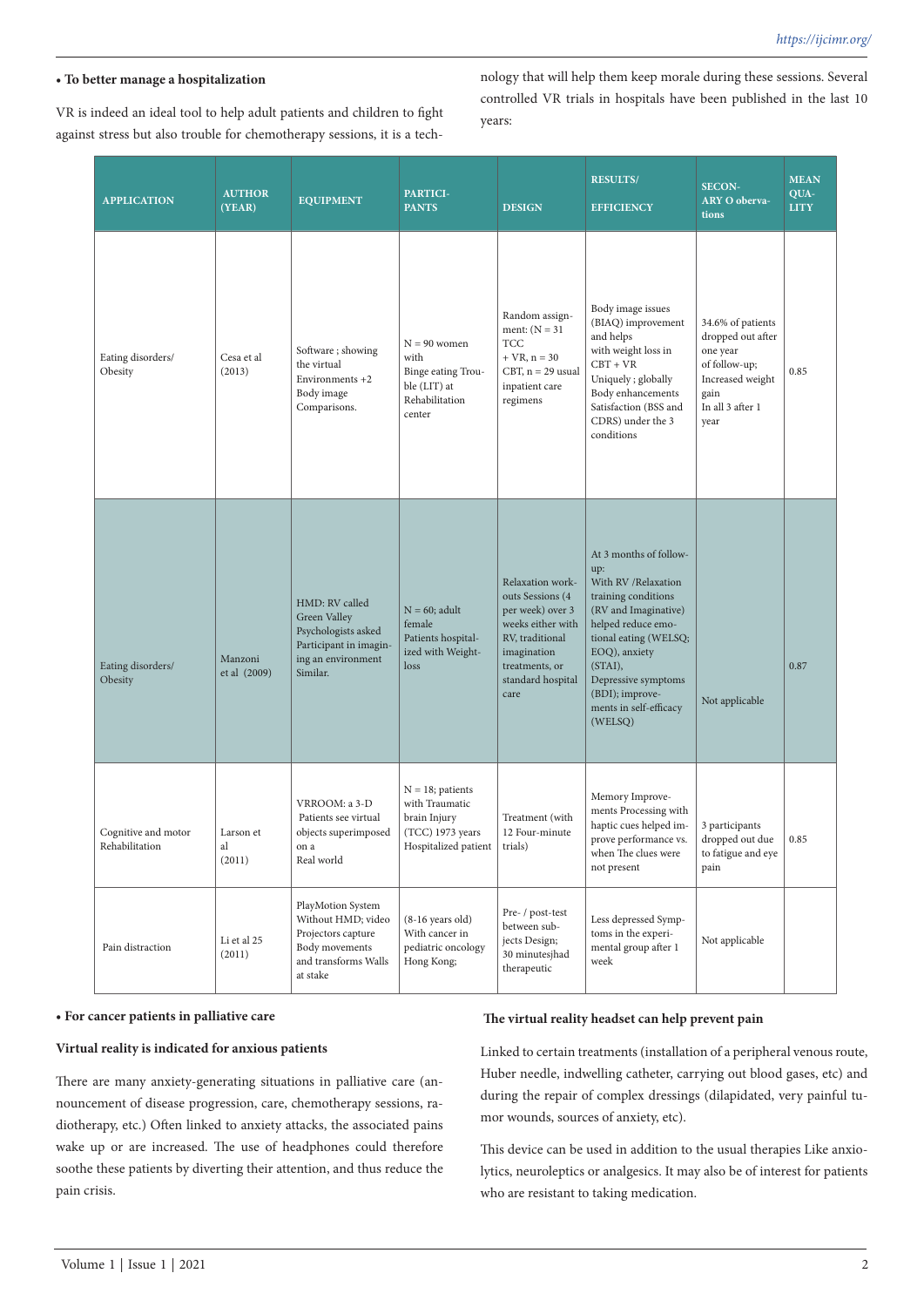# **• To better manage a hospitalization**

VR is indeed an ideal tool to help adult patients and children to fight against stress but also trouble for chemotherapy sessions, it is a technology that will help them keep morale during these sessions. Several controlled VR trials in hospitals have been published in the last 10 years:

| <b>APPLICATION</b>                    | <b>AUTHOR</b><br>(YEAR)   | <b>EQUIPMENT</b>                                                                                                    | PARTICI-<br><b>PANTS</b>                                                                          | <b>DESIGN</b>                                                                                                                                                  | <b>RESULTS/</b><br><b>EFFICIENCY</b>                                                                                                                                                                                                                           | <b>SECON-</b><br><b>ARY O oberva-</b><br>tions                                                                              | <b>MEAN</b><br>QUA-<br><b>LITY</b> |
|---------------------------------------|---------------------------|---------------------------------------------------------------------------------------------------------------------|---------------------------------------------------------------------------------------------------|----------------------------------------------------------------------------------------------------------------------------------------------------------------|----------------------------------------------------------------------------------------------------------------------------------------------------------------------------------------------------------------------------------------------------------------|-----------------------------------------------------------------------------------------------------------------------------|------------------------------------|
| Eating disorders/<br>Obesity          | Cesa et al<br>(2013)      | Software; showing<br>the virtual<br>Environments $+2$<br>Body image<br>Comparisons.                                 | $N = 90$ women<br>with<br>Binge eating Trou-<br>ble (LIT) at<br>Rehabilitation<br>center          | Random assign-<br>ment: $(N = 31$<br>TCC<br>$+ VR, n = 30$<br>$CBT, n = 29$ usual<br>inpatient care<br>regimens                                                | Body image issues<br>(BIAQ) improvement<br>and helps<br>with weight loss in<br>$CBT + VR$<br>Uniquely; globally<br>Body enhancements<br>Satisfaction (BSS and<br>CDRS) under the 3<br>conditions                                                               | 34.6% of patients<br>dropped out after<br>one year<br>of follow-up;<br>Increased weight<br>gain<br>In all 3 after 1<br>year | 0.85                               |
| Eating disorders/<br>Obesity          | Manzoni<br>et al (2009)   | HMD: RV called<br>Green Valley<br>Psychologists asked<br>Participant in imagin-<br>ing an environment<br>Similar.   | $N = 60$ ; adult<br>female<br>Patients hospital-<br>ized with Weight-<br>loss                     | Relaxation work-<br>outs Sessions (4<br>per week) over 3<br>weeks either with<br>RV, traditional<br>imagination<br>treatments, or<br>standard hospital<br>care | At 3 months of follow-<br>up:<br>With RV / Relaxation<br>training conditions<br>(RV and Imaginative)<br>helped reduce emo-<br>tional eating (WELSQ;<br>EOQ), anxiety<br>(STAI),<br>Depressive symptoms<br>(BDI); improve-<br>ments in self-efficacy<br>(WELSQ) | Not applicable                                                                                                              | 0.87                               |
| Cognitive and motor<br>Rehabilitation | Larson et<br>al<br>(2011) | VRROOM: a 3-D<br>Patients see virtual<br>objects superimposed<br>on a<br>Real world                                 | $N = 18$ ; patients<br>with Traumatic<br>brain Injury<br>(TCC) 1973 years<br>Hospitalized patient | Treatment (with<br>12 Four-minute<br>trials)                                                                                                                   | Memory Improve-<br>ments Processing with<br>haptic cues helped im-<br>prove performance vs.<br>when The clues were<br>not present                                                                                                                              | 3 participants<br>dropped out due<br>to fatigue and eye<br>pain                                                             | 0.85                               |
| Pain distraction                      | Li et al 25<br>(2011)     | PlayMotion System<br>Without HMD; video<br>Projectors capture<br>Body movements<br>and transforms Walls<br>at stake | $(8-16 \text{ years old})$<br>With cancer in<br>pediatric oncology<br>Hong Kong;                  | Pre- / post-test<br>between sub-<br>jects Design;<br>30 minutesjhad<br>therapeutic                                                                             | Less depressed Symp-<br>toms in the experi-<br>mental group after 1<br>week                                                                                                                                                                                    | Not applicable                                                                                                              |                                    |

### **• For cancer patients in palliative care**

### **Virtual reality is indicated for anxious patients**

There are many anxiety-generating situations in palliative care (announcement of disease progression, care, chemotherapy sessions, radiotherapy, etc.) Often linked to anxiety attacks, the associated pains wake up or are increased. The use of headphones could therefore soothe these patients by diverting their attention, and thus reduce the pain crisis.

#### **The virtual reality headset can help prevent pain**

Linked to certain treatments (installation of a peripheral venous route, Huber needle, indwelling catheter, carrying out blood gases, etc) and during the repair of complex dressings (dilapidated, very painful tumor wounds, sources of anxiety, etc).

This device can be used in addition to the usual therapies Like anxiolytics, neuroleptics or analgesics. It may also be of interest for patients who are resistant to taking medication.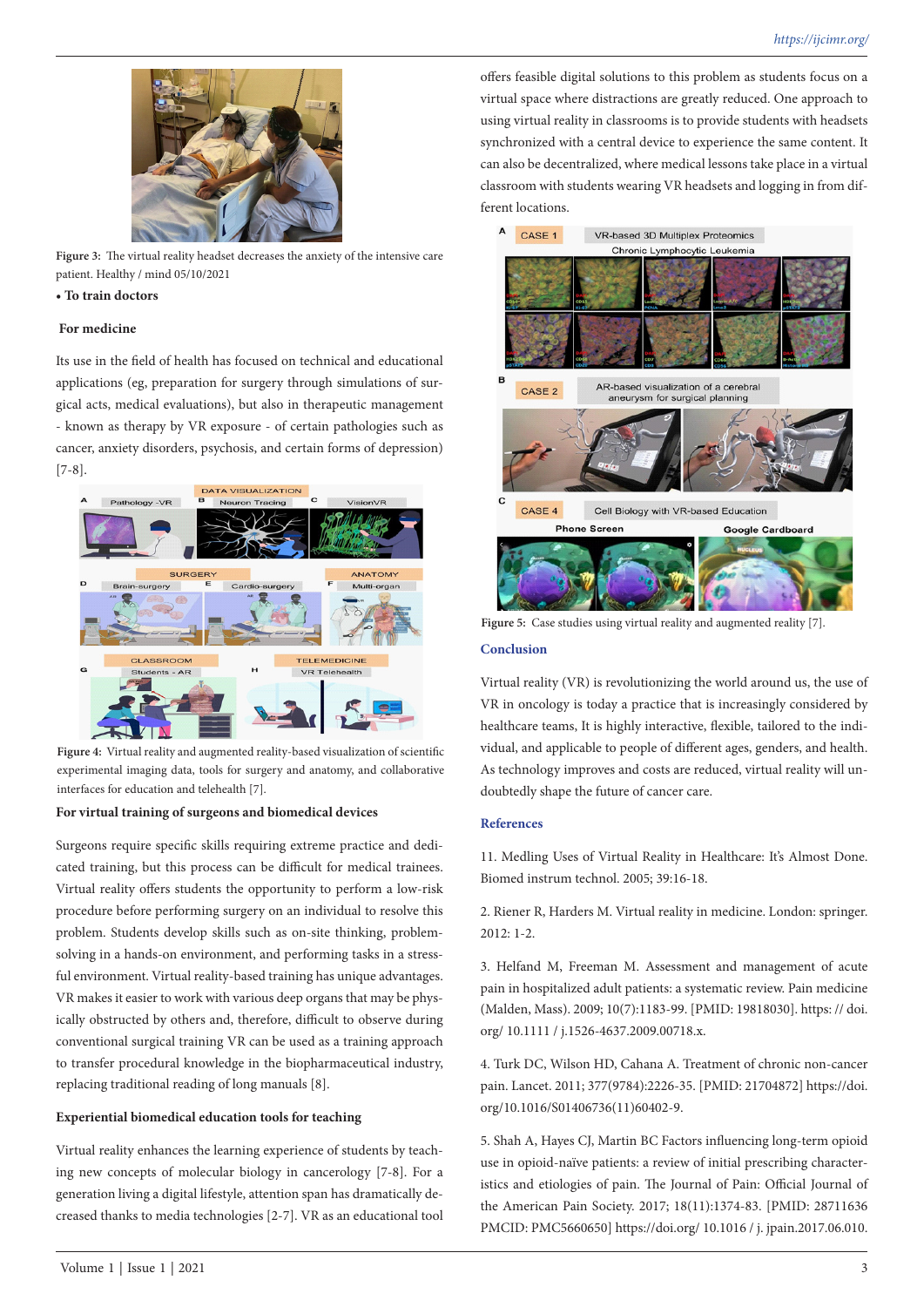

**Figure 3:** The virtual reality headset decreases the anxiety of the intensive care patient. Healthy / mind 05/10/2021

#### **• To train doctors**

# **For medicine**

Its use in the field of health has focused on technical and educational applications (eg, preparation for surgery through simulations of surgical acts, medical evaluations), but also in therapeutic management - known as therapy by VR exposure - of certain pathologies such as cancer, anxiety disorders, psychosis, and certain forms of depression) [7-8].



Figure 4: Virtual reality and augmented reality-based visualization of scientific experimental imaging data, tools for surgery and anatomy, and collaborative interfaces for education and telehealth [7].

# **For virtual training of surgeons and biomedical devices**

Surgeons require specific skills requiring extreme practice and dedicated training, but this process can be difficult for medical trainees. Virtual reality offers students the opportunity to perform a low-risk procedure before performing surgery on an individual to resolve this problem. Students develop skills such as on-site thinking, problemsolving in a hands-on environment, and performing tasks in a stressful environment. Virtual reality-based training has unique advantages. VR makes it easier to work with various deep organs that may be physically obstructed by others and, therefore, difficult to observe during conventional surgical training VR can be used as a training approach to transfer procedural knowledge in the biopharmaceutical industry, replacing traditional reading of long manuals [8].

# **Experiential biomedical education tools for teaching**

Virtual reality enhances the learning experience of students by teaching new concepts of molecular biology in cancerology [7-8]. For a generation living a digital lifestyle, attention span has dramatically decreased thanks to media technologies [2-7]. VR as an educational tool

offers feasible digital solutions to this problem as students focus on a virtual space where distractions are greatly reduced. One approach to using virtual reality in classrooms is to provide students with headsets synchronized with a central device to experience the same content. It can also be decentralized, where medical lessons take place in a virtual classroom with students wearing VR headsets and logging in from different locations.



**Figure 5:** Case studies using virtual reality and augmented reality [7].

#### **Conclusion**

Virtual reality (VR) is revolutionizing the world around us, the use of VR in oncology is today a practice that is increasingly considered by healthcare teams, It is highly interactive, flexible, tailored to the individual, and applicable to people of different ages, genders, and health. As technology improves and costs are reduced, virtual reality will undoubtedly shape the future of cancer care.

#### **References**

11. Medling Uses of Virtual Reality in Healthcare: It's Almost Done. Biomed instrum technol. 2005; 39:16-18.

2. Riener R, Harders M. Virtual reality in medicine. London: springer. 2012: 1-2.

3. Helfand M, Freeman M. Assessment and management of acute pain in hospitalized adult patients: a systematic review. Pain medicine (Malden, Mass). 2009; 10(7):1183-99. [PMID: 19818030]. https: // doi. org/ 10.1111 / j.1526-4637.2009.00718.x.

4. Turk DC, Wilson HD, Cahana A. Treatment of chronic non-cancer pain. Lancet. 2011; 377(9784):2226-35. [PMID: 21704872] https://doi. org/10.1016/S01406736(11)60402-9.

5. Shah A, Hayes CJ, Martin BC Factors influencing long-term opioid use in opioid-naïve patients: a review of initial prescribing characteristics and etiologies of pain. The Journal of Pain: Official Journal of the American Pain Society. 2017; 18(11):1374-83. [PMID: 28711636 PMCID: PMC5660650] https://doi.org/ 10.1016 / j. jpain.2017.06.010.